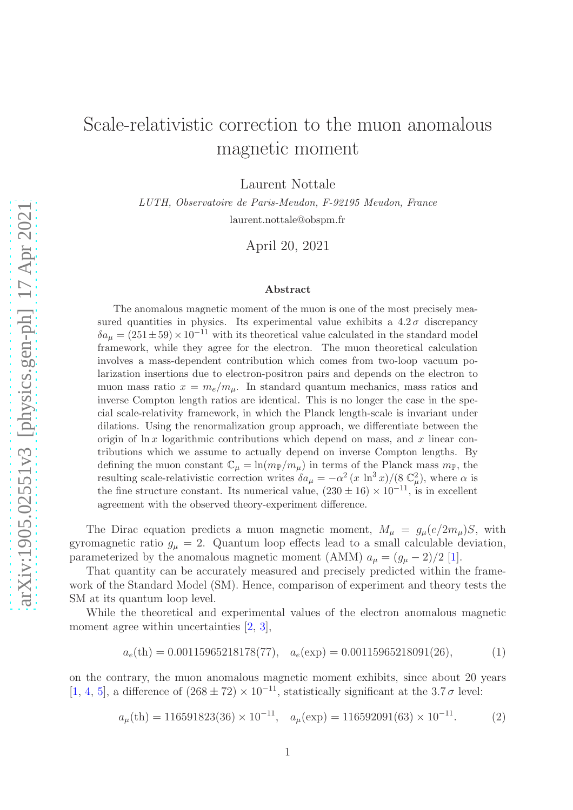## Scale-relativistic correction to the muon anomalous magnetic moment

Laurent Nottale

LUTH, Observatoire de Paris-Meudon, F-92195 Meudon, France laurent.nottale@obspm.fr

April 20, 2021

## Abstract

The anomalous magnetic moment of the muon is one of the most precisely measured quantities in physics. Its experimental value exhibits a  $4.2\sigma$  discrepancy  $\delta a_{\mu} = (251 \pm 59) \times 10^{-11}$  with its theoretical value calculated in the standard model framework, while they agree for the electron. The muon theoretical calculation involves a mass-dependent contribution which comes from two-loop vacuum polarization insertions due to electron-positron pairs and depends on the electron to muon mass ratio  $x = m_e/m_\mu$ . In standard quantum mechanics, mass ratios and inverse Compton length ratios are identical. This is no longer the case in the special scale-relativity framework, in which the Planck length-scale is invariant under dilations. Using the renormalization group approach, we differentiate between the origin of  $\ln x$  logarithmic contributions which depend on mass, and x linear contributions which we assume to actually depend on inverse Compton lengths. By defining the muon constant  $\mathbb{C}_{\mu} = \ln(m_{\mathbb{P}}/m_{\mu})$  in terms of the Planck mass  $m_{\mathbb{P}}$ , the resulting scale-relativistic correction writes  $\delta a_{\mu} = -\alpha^2 (x \ln^3 x)/(8 \mathbb{C}_{\mu}^2)$ , where  $\alpha$  is the fine structure constant. Its numerical value,  $(230 \pm 16) \times 10^{-11}$ , is in excellent agreement with the observed theory-experiment difference.

The Dirac equation predicts a muon magnetic moment,  $M_{\mu} = g_{\mu}(e/2m_{\mu})S$ , with gyromagnetic ratio  $g_{\mu} = 2$ . Quantum loop effects lead to a small calculable deviation, parameterized by the anomalous magnetic moment (AMM)  $a_{\mu} = (g_{\mu} - 2)/2$  [\[1\]](#page-6-0).

That quantity can be accurately measured and precisely predicted within the framework of the Standard Model (SM). Hence, comparison of experiment and theory tests the SM at its quantum loop level.

While the theoretical and experimental values of the electron anomalous magnetic moment agree within uncertainties [\[2,](#page-6-1) [3\]](#page-7-0),

$$
a_e(\text{th}) = 0.00115965218178(77), \quad a_e(\text{exp}) = 0.00115965218091(26), \tag{1}
$$

on the contrary, the muon anomalous magnetic moment exhibits, since about 20 years [\[1,](#page-6-0) [4,](#page-7-1) [5\]](#page-7-2), a difference of  $(268 \pm 72) \times 10^{-11}$ , statistically significant at the 3.7  $\sigma$  level:

$$
a_{\mu}(\text{th}) = 116591823(36) \times 10^{-11}, \quad a_{\mu}(\text{exp}) = 116592091(63) \times 10^{-11}.
$$
 (2)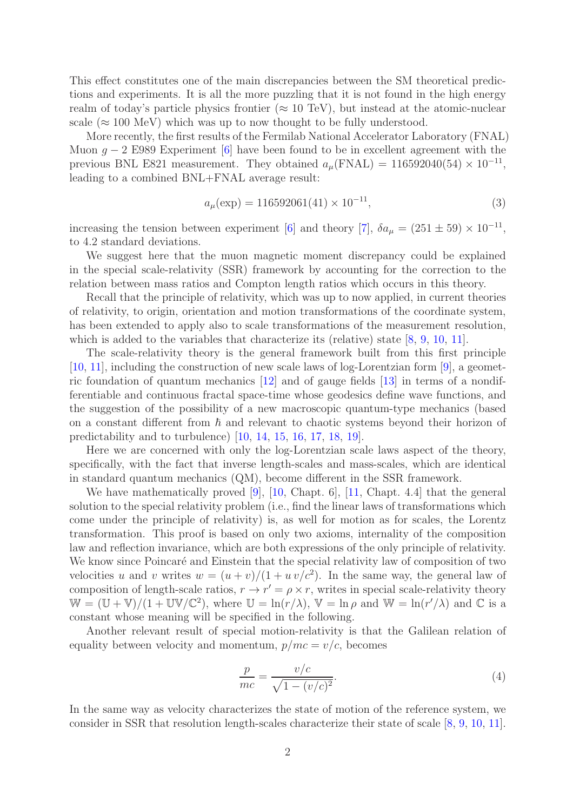This effect constitutes one of the main discrepancies between the SM theoretical predictions and experiments. It is all the more puzzling that it is not found in the high energy realm of today's particle physics frontier ( $\approx 10$  TeV), but instead at the atomic-nuclear scale ( $\approx 100 \text{ MeV}$ ) which was up to now thought to be fully understood.

More recently, the first results of the Fermilab National Accelerator Laboratory (FNAL) Muon  $q - 2$  E989 Experiment [\[6\]](#page-7-3) have been found to be in excellent agreement with the previous BNL E821 measurement. They obtained  $a_{\mu}(\text{FNAL}) = 116592040(54) \times 10^{-11}$ , leading to a combined BNL+FNAL average result:

$$
a_{\mu}(\exp) = 116592061(41) \times 10^{-11},\tag{3}
$$

increasing the tension between experiment [\[6\]](#page-7-3) and theory [\[7\]](#page-7-4),  $\delta a_{\mu} = (251 \pm 59) \times 10^{-11}$ , to 4.2 standard deviations.

We suggest here that the muon magnetic moment discrepancy could be explained in the special scale-relativity (SSR) framework by accounting for the correction to the relation between mass ratios and Compton length ratios which occurs in this theory.

Recall that the principle of relativity, which was up to now applied, in current theories of relativity, to origin, orientation and motion transformations of the coordinate system, has been extended to apply also to scale transformations of the measurement resolution, which is added to the variables that characterize its (relative) state  $[8, 9, 10, 11]$  $[8, 9, 10, 11]$  $[8, 9, 10, 11]$  $[8, 9, 10, 11]$  $[8, 9, 10, 11]$  $[8, 9, 10, 11]$ .

The scale-relativity theory is the general framework built from this first principle [\[10,](#page-7-7) [11\]](#page-7-8), including the construction of new scale laws of log-Lorentzian form [\[9\]](#page-7-6), a geometric foundation of quantum mechanics [\[12\]](#page-7-9) and of gauge fields [\[13\]](#page-7-10) in terms of a nondifferentiable and continuous fractal space-time whose geodesics define wave functions, and the suggestion of the possibility of a new macroscopic quantum-type mechanics (based on a constant different from  $\hbar$  and relevant to chaotic systems beyond their horizon of predictability and to turbulence) [\[10,](#page-7-7) [14,](#page-7-11) [15,](#page-7-12) [16,](#page-7-13) [17,](#page-7-14) [18,](#page-7-15) [19\]](#page-7-16).

Here we are concerned with only the log-Lorentzian scale laws aspect of the theory, specifically, with the fact that inverse length-scales and mass-scales, which are identical in standard quantum mechanics (QM), become different in the SSR framework.

We have mathematically proved [\[9\]](#page-7-6), [\[10,](#page-7-7) Chapt. 6], [\[11,](#page-7-8) Chapt. 4.4] that the general solution to the special relativity problem (i.e., find the linear laws of transformations which come under the principle of relativity) is, as well for motion as for scales, the Lorentz transformation. This proof is based on only two axioms, internality of the composition law and reflection invariance, which are both expressions of the only principle of relativity. We know since Poincaré and Einstein that the special relativity law of composition of two velocities u and v writes  $w = (u + v)/(1 + uv/c^2)$ . In the same way, the general law of composition of length-scale ratios,  $r \rightarrow r' = \rho \times r$ , writes in special scale-relativity theory  $W = (U + V)/(1 + UV/C^2)$ , where  $U = \ln(r/\lambda)$ ,  $V = \ln \rho$  and  $W = \ln(r/\lambda)$  and  $C$  is a constant whose meaning will be specified in the following.

Another relevant result of special motion-relativity is that the Galilean relation of equality between velocity and momentum,  $p/mc = v/c$ , becomes

$$
\frac{p}{mc} = \frac{v/c}{\sqrt{1 - (v/c)^2}}.\tag{4}
$$

In the same way as velocity characterizes the state of motion of the reference system, we consider in SSR that resolution length-scales characterize their state of scale [\[8,](#page-7-5) [9,](#page-7-6) [10,](#page-7-7) [11\]](#page-7-8).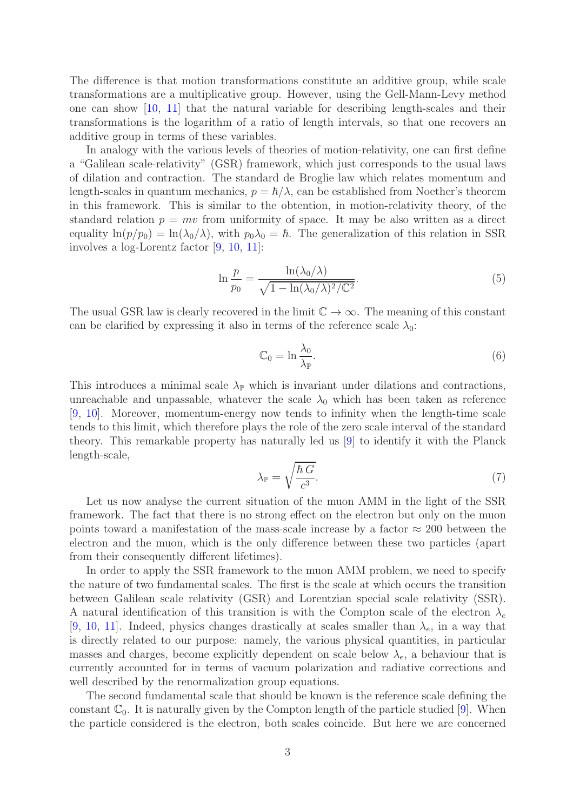The difference is that motion transformations constitute an additive group, while scale transformations are a multiplicative group. However, using the Gell-Mann-Levy method one can show [\[10,](#page-7-7) [11\]](#page-7-8) that the natural variable for describing length-scales and their transformations is the logarithm of a ratio of length intervals, so that one recovers an additive group in terms of these variables.

In analogy with the various levels of theories of motion-relativity, one can first define a "Galilean scale-relativity" (GSR) framework, which just corresponds to the usual laws of dilation and contraction. The standard de Broglie law which relates momentum and length-scales in quantum mechanics,  $p = \hbar/\lambda$ , can be established from Noether's theorem in this framework. This is similar to the obtention, in motion-relativity theory, of the standard relation  $p = mv$  from uniformity of space. It may be also written as a direct equality  $\ln(p/p_0) = \ln(\lambda_0/\lambda)$ , with  $p_0\lambda_0 = \hbar$ . The generalization of this relation in SSR involves a log-Lorentz factor [\[9,](#page-7-6) [10,](#page-7-7) [11\]](#page-7-8):

$$
\ln \frac{p}{p_0} = \frac{\ln(\lambda_0/\lambda)}{\sqrt{1 - \ln(\lambda_0/\lambda)^2/\mathbb{C}^2}}.
$$
\n(5)

The usual GSR law is clearly recovered in the limit  $\mathbb{C} \to \infty$ . The meaning of this constant can be clarified by expressing it also in terms of the reference scale  $\lambda_0$ :

$$
\mathbb{C}_0 = \ln \frac{\lambda_0}{\lambda_{\mathbb{P}}}.\tag{6}
$$

This introduces a minimal scale  $\lambda_{\mathbb{P}}$  which is invariant under dilations and contractions, unreachable and unpassable, whatever the scale  $\lambda_0$  which has been taken as reference [\[9,](#page-7-6) [10\]](#page-7-7). Moreover, momentum-energy now tends to infinity when the length-time scale tends to this limit, which therefore plays the role of the zero scale interval of the standard theory. This remarkable property has naturally led us [\[9\]](#page-7-6) to identify it with the Planck length-scale,

$$
\lambda_{\mathbb{P}} = \sqrt{\frac{\hbar G}{c^3}}.\tag{7}
$$

Let us now analyse the current situation of the muon AMM in the light of the SSR framework. The fact that there is no strong effect on the electron but only on the muon points toward a manifestation of the mass-scale increase by a factor  $\approx 200$  between the electron and the muon, which is the only difference between these two particles (apart from their consequently different lifetimes).

In order to apply the SSR framework to the muon AMM problem, we need to specify the nature of two fundamental scales. The first is the scale at which occurs the transition between Galilean scale relativity (GSR) and Lorentzian special scale relativity (SSR). A natural identification of this transition is with the Compton scale of the electron  $\lambda_e$ [\[9,](#page-7-6) [10,](#page-7-7) [11\]](#page-7-8). Indeed, physics changes drastically at scales smaller than  $\lambda_e$ , in a way that is directly related to our purpose: namely, the various physical quantities, in particular masses and charges, become explicitly dependent on scale below  $\lambda_e$ , a behaviour that is currently accounted for in terms of vacuum polarization and radiative corrections and well described by the renormalization group equations.

The second fundamental scale that should be known is the reference scale defining the constant  $\mathbb{C}_0$ . It is naturally given by the Compton length of the particle studied [\[9\]](#page-7-6). When the particle considered is the electron, both scales coincide. But here we are concerned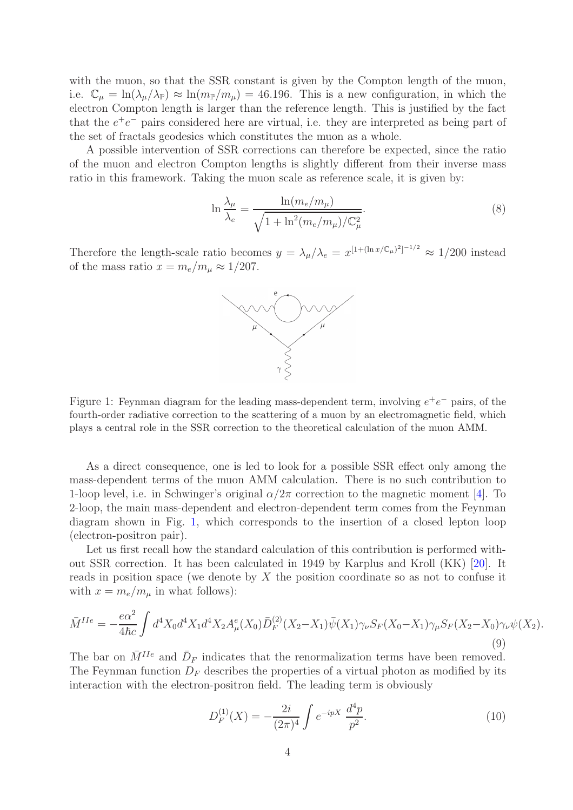with the muon, so that the SSR constant is given by the Compton length of the muon, i.e.  $\mathbb{C}_{\mu} = \ln(\lambda_{\mu}/\lambda_{\mathbb{P}}) \approx \ln(m_{\mathbb{P}}/m_{\mu}) = 46.196$ . This is a new configuration, in which the electron Compton length is larger than the reference length. This is justified by the fact that the  $e^+e^-$  pairs considered here are virtual, i.e. they are interpreted as being part of the set of fractals geodesics which constitutes the muon as a whole.

A possible intervention of SSR corrections can therefore be expected, since the ratio of the muon and electron Compton lengths is slightly different from their inverse mass ratio in this framework. Taking the muon scale as reference scale, it is given by:

<span id="page-3-1"></span>
$$
\ln \frac{\lambda_{\mu}}{\lambda_e} = \frac{\ln(m_e/m_{\mu})}{\sqrt{1 + \ln^2(m_e/m_{\mu})/\mathbb{C}_{\mu}^2}}.
$$
\n(8)

Therefore the length-scale ratio becomes  $y = \lambda_\mu/\lambda_e = x^{[1 + (\ln x/\mathbb{C}_\mu)^2]^{-1/2}} \approx 1/200$  instead of the mass ratio  $x = m_e/m_\mu \approx 1/207$ .



<span id="page-3-0"></span>Figure 1: Feynman diagram for the leading mass-dependent term, involving  $e^+e^-$  pairs, of the fourth-order radiative correction to the scattering of a muon by an electromagnetic field, which plays a central role in the SSR correction to the theoretical calculation of the muon AMM.

As a direct consequence, one is led to look for a possible SSR effect only among the mass-dependent terms of the muon AMM calculation. There is no such contribution to 1-loop level, i.e. in Schwinger's original  $\alpha/2\pi$  correction to the magnetic moment [\[4\]](#page-7-1). To 2-loop, the main mass-dependent and electron-dependent term comes from the Feynman diagram shown in Fig. [1,](#page-3-0) which corresponds to the insertion of a closed lepton loop (electron-positron pair).

Let us first recall how the standard calculation of this contribution is performed without SSR correction. It has been calculated in 1949 by Karplus and Kroll (KK) [\[20\]](#page-7-17). It reads in position space (we denote by X the position coordinate so as not to confuse it with  $x = m_e/m_\mu$  in what follows):

$$
\bar{M}^{IIe} = -\frac{e\alpha^2}{4\hbar c} \int d^4 X_0 d^4 X_1 d^4 X_2 A^e_\mu(X_0) \bar{D}^{(2)}_F(X_2 - X_1) \bar{\psi}(X_1) \gamma_\nu S_F(X_0 - X_1) \gamma_\mu S_F(X_2 - X_0) \gamma_\nu \psi(X_2).
$$
\n(9)

The bar on  $\bar{M}^{IIe}$  and  $\bar{D}_F$  indicates that the renormalization terms have been removed. The Feynman function  $D_F$  describes the properties of a virtual photon as modified by its interaction with the electron-positron field. The leading term is obviously

$$
D_F^{(1)}(X) = -\frac{2i}{(2\pi)^4} \int e^{-ipX} \frac{d^4p}{p^2}.
$$
 (10)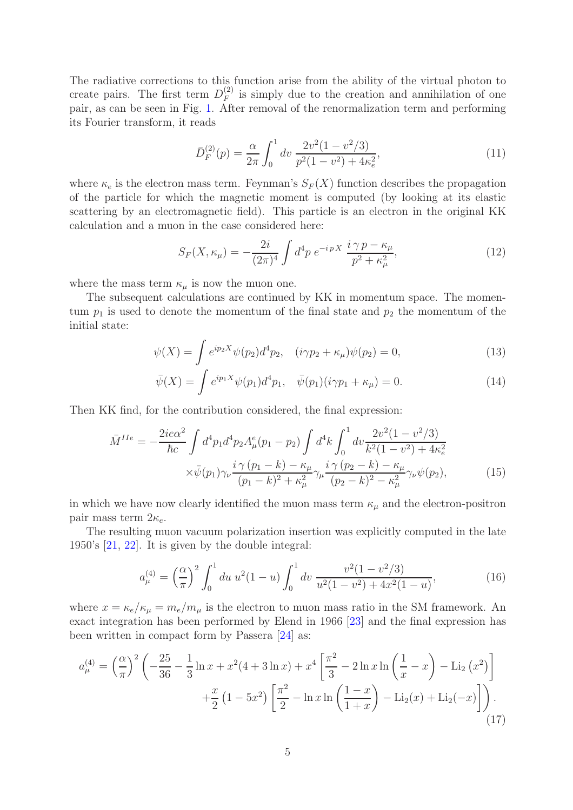The radiative corrections to this function arise from the ability of the virtual photon to create pairs. The first term  $D_F^{(2)}$  $\binom{2}{F}$  is simply due to the creation and annihilation of one pair, as can be seen in Fig. [1.](#page-3-0) After removal of the renormalization term and performing its Fourier transform, it reads

$$
\bar{D}_F^{(2)}(p) = \frac{\alpha}{2\pi} \int_0^1 dv \, \frac{2v^2(1 - v^2/3)}{p^2(1 - v^2) + 4\kappa_e^2},\tag{11}
$$

where  $\kappa_e$  is the electron mass term. Feynman's  $S_F(X)$  function describes the propagation of the particle for which the magnetic moment is computed (by looking at its elastic scattering by an electromagnetic field). This particle is an electron in the original KK calculation and a muon in the case considered here:

<span id="page-4-0"></span>
$$
S_F(X, \kappa_\mu) = -\frac{2i}{(2\pi)^4} \int d^4p \; e^{-ip \; X} \; \frac{i \; \gamma \; p - \kappa_\mu}{p^2 + \kappa_\mu^2},\tag{12}
$$

where the mass term  $\kappa_{\mu}$  is now the muon one.

The subsequent calculations are continued by KK in momentum space. The momentum  $p_1$  is used to denote the momentum of the final state and  $p_2$  the momentum of the initial state:

$$
\psi(X) = \int e^{ip_2 X} \psi(p_2) d^4 p_2, \quad (i\gamma p_2 + \kappa_\mu) \psi(p_2) = 0,\tag{13}
$$

$$
\bar{\psi}(X) = \int e^{ip_1 X} \psi(p_1) d^4 p_1, \quad \bar{\psi}(p_1)(i\gamma p_1 + \kappa_\mu) = 0.
$$
\n(14)

Then KK find, for the contribution considered, the final expression:

$$
\bar{M}^{IIe} = -\frac{2ie\alpha^2}{\hbar c} \int d^4p_1 d^4p_2 A^e_\mu(p_1 - p_2) \int d^4k \int_0^1 dv \frac{2v^2(1 - v^2/3)}{k^2(1 - v^2) + 4\kappa_e^2} \times \bar{\psi}(p_1)\gamma_\nu \frac{i\gamma(p_1 - k) - \kappa_\mu}{(p_1 - k)^2 + \kappa_\mu^2} \gamma_\mu \frac{i\gamma(p_2 - k) - \kappa_\mu}{(p_2 - k)^2 - \kappa_\mu^2} \gamma_\nu \psi(p_2),\tag{15}
$$

in which we have now clearly identified the muon mass term  $\kappa_{\mu}$  and the electron-positron pair mass term  $2\kappa_e$ .

The resulting muon vacuum polarization insertion was explicitly computed in the late 1950's [\[21,](#page-7-18) [22\]](#page-7-19). It is given by the double integral:

<span id="page-4-2"></span><span id="page-4-1"></span>
$$
a_{\mu}^{(4)} = \left(\frac{\alpha}{\pi}\right)^2 \int_0^1 du \ u^2 (1-u) \int_0^1 dv \ \frac{v^2 (1-v^2/3)}{u^2 (1-v^2) + 4x^2 (1-u)},\tag{16}
$$

where  $x = \kappa_e / \kappa_{\mu} = m_e / m_{\mu}$  is the electron to muon mass ratio in the SM framework. An exact integration has been performed by Elend in 1966 [\[23\]](#page-7-20) and the final expression has been written in compact form by Passera [\[24\]](#page-7-21) as:

$$
a_{\mu}^{(4)} = \left(\frac{\alpha}{\pi}\right)^2 \left(-\frac{25}{36} - \frac{1}{3}\ln x + x^2(4+3\ln x) + x^4\left[\frac{\pi^2}{3} - 2\ln x \ln\left(\frac{1}{x} - x\right) - \text{Li}_2(x^2)\right] + \frac{x}{2}\left(1 - 5x^2\right)\left[\frac{\pi^2}{2} - \ln x \ln\left(\frac{1-x}{1+x}\right) - \text{Li}_2(x) + \text{Li}_2(-x)\right]\right). \tag{17}
$$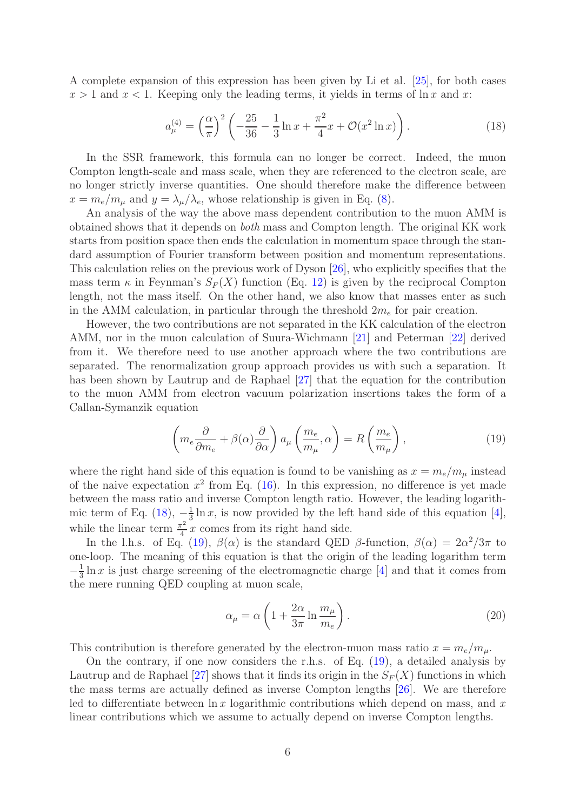A complete expansion of this expression has been given by Li et al. [\[25\]](#page-7-22), for both cases  $x > 1$  and  $x < 1$ . Keeping only the leading terms, it yields in terms of  $\ln x$  and x:

<span id="page-5-0"></span>
$$
a_{\mu}^{(4)} = \left(\frac{\alpha}{\pi}\right)^2 \left(-\frac{25}{36} - \frac{1}{3}\ln x + \frac{\pi^2}{4}x + \mathcal{O}(x^2 \ln x)\right). \tag{18}
$$

In the SSR framework, this formula can no longer be correct. Indeed, the muon Compton length-scale and mass scale, when they are referenced to the electron scale, are no longer strictly inverse quantities. One should therefore make the difference between  $x = m_e/m_\mu$  and  $y = \lambda_\mu/\lambda_e$ , whose relationship is given in Eq. [\(8\)](#page-3-1).

An analysis of the way the above mass dependent contribution to the muon AMM is obtained shows that it depends on *both* mass and Compton length. The original KK work starts from position space then ends the calculation in momentum space through the standard assumption of Fourier transform between position and momentum representations. This calculation relies on the previous work of Dyson [\[26\]](#page-7-23), who explicitly specifies that the mass term  $\kappa$  in Feynman's  $S_F(X)$  function (Eq. [12\)](#page-4-0) is given by the reciprocal Compton length, not the mass itself. On the other hand, we also know that masses enter as such in the AMM calculation, in particular through the threshold  $2m_e$  for pair creation.

However, the two contributions are not separated in the KK calculation of the electron AMM, nor in the muon calculation of Suura-Wichmann [\[21\]](#page-7-18) and Peterman [\[22\]](#page-7-19) derived from it. We therefore need to use another approach where the two contributions are separated. The renormalization group approach provides us with such a separation. It has been shown by Lautrup and de Raphael [\[27\]](#page-7-24) that the equation for the contribution to the muon AMM from electron vacuum polarization insertions takes the form of a Callan-Symanzik equation

<span id="page-5-1"></span>
$$
\left(m_e \frac{\partial}{\partial m_e} + \beta(\alpha) \frac{\partial}{\partial \alpha}\right) a_\mu \left(\frac{m_e}{m_\mu}, \alpha\right) = R\left(\frac{m_e}{m_\mu}\right),\tag{19}
$$

where the right hand side of this equation is found to be vanishing as  $x = m_e/m_\mu$  instead of the naive expectation  $x^2$  from Eq. [\(16\)](#page-4-1). In this expression, no difference is yet made between the mass ratio and inverse Compton length ratio. However, the leading logarithmic term of Eq.  $(18), -\frac{1}{3}$  $\frac{1}{3} \ln x$ , is now provided by the left hand side of this equation [\[4\]](#page-7-1), while the linear term  $\frac{\pi^2}{4}$  $\frac{r^2}{4}$  x comes from its right hand side.

In the l.h.s. of Eq. [\(19\)](#page-5-1),  $\beta(\alpha)$  is the standard QED  $\beta$ -function,  $\beta(\alpha) = 2\alpha^2/3\pi$  to one-loop. The meaning of this equation is that the origin of the leading logarithm term  $-\frac{1}{2}$  $\frac{1}{3} \ln x$  is just charge screening of the electromagnetic charge [\[4\]](#page-7-1) and that it comes from the mere running QED coupling at muon scale,

$$
\alpha_{\mu} = \alpha \left( 1 + \frac{2\alpha}{3\pi} \ln \frac{m_{\mu}}{m_e} \right). \tag{20}
$$

This contribution is therefore generated by the electron-muon mass ratio  $x = m_e/m_\mu$ .

On the contrary, if one now considers the r.h.s. of Eq. [\(19\)](#page-5-1), a detailed analysis by Lautrup and de Raphael [\[27\]](#page-7-24) shows that it finds its origin in the  $S_F(X)$  functions in which the mass terms are actually defined as inverse Compton lengths [\[26\]](#page-7-23). We are therefore led to differentiate between  $\ln x$  logarithmic contributions which depend on mass, and x linear contributions which we assume to actually depend on inverse Compton lengths.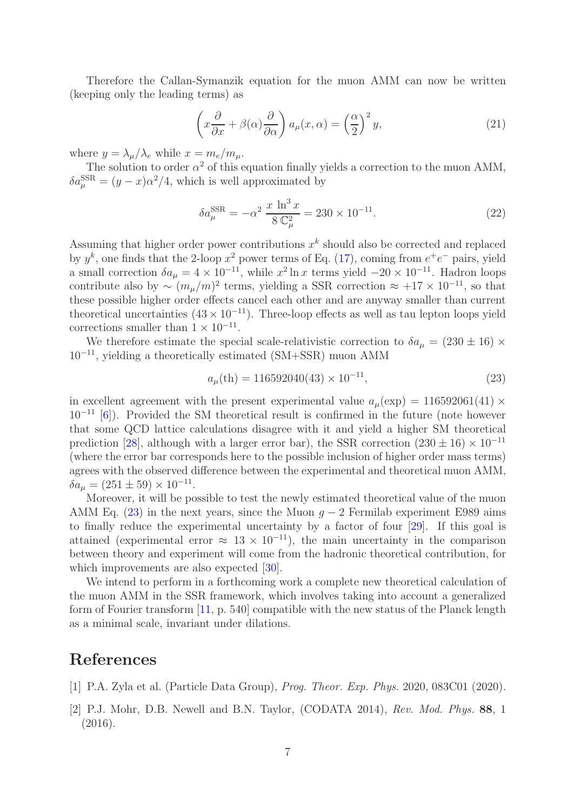Therefore the Callan-Symanzik equation for the muon AMM can now be written (keeping only the leading terms) as

$$
\left(x\frac{\partial}{\partial x} + \beta(\alpha)\frac{\partial}{\partial \alpha}\right) a_{\mu}(x,\alpha) = \left(\frac{\alpha}{2}\right)^2 y,\tag{21}
$$

where  $y = \lambda_\mu / \lambda_e$  while  $x = m_e / m_\mu$ .

The solution to order  $\alpha^2$  of this equation finally yields a correction to the muon AMM,  $\delta a_\mu^{\rm SSR} = (y-x)\alpha^2/4$ , which is well approximated by

$$
\delta a_{\mu}^{\text{SSR}} = -\alpha^2 \frac{x \ln^3 x}{8 \mathbb{C}_{\mu}^2} = 230 \times 10^{-11}.
$$
 (22)

Assuming that higher order power contributions  $x^k$  should also be corrected and replaced by  $y^k$ , one finds that the 2-loop  $x^2$  power terms of Eq. [\(17\)](#page-4-2), coming from  $e^+e^-$  pairs, yield a small correction  $\delta a_{\mu} = 4 \times 10^{-11}$ , while  $x^2 \ln x$  terms yield  $-20 \times 10^{-11}$ . Hadron loops contribute also by  $\sim (m_{\mu}/m)^2$  terms, yielding a SSR correction  $\approx +17 \times 10^{-11}$ , so that these possible higher order effects cancel each other and are anyway smaller than current theoretical uncertainties  $(43 \times 10^{-11})$ . Three-loop effects as well as tau lepton loops yield corrections smaller than  $1 \times 10^{-11}$ .

We therefore estimate the special scale-relativistic correction to  $\delta a_{\mu} = (230 \pm 16) \times$ 10<sup>−</sup><sup>11</sup>, yielding a theoretically estimated (SM+SSR) muon AMM

<span id="page-6-2"></span>
$$
a_{\mu}(\text{th}) = 116592040(43) \times 10^{-11},\tag{23}
$$

in excellent agreement with the present experimental value  $a_u(\exp) = 116592061(41) \times$  $10^{-11}$  [\[6\]](#page-7-3)). Provided the SM theoretical result is confirmed in the future (note however that some QCD lattice calculations disagree with it and yield a higher SM theoretical prediction [\[28\]](#page-7-25), although with a larger error bar), the SSR correction  $(230 \pm 16) \times 10^{-11}$ (where the error bar corresponds here to the possible inclusion of higher order mass terms) agrees with the observed difference between the experimental and theoretical muon AMM,  $\delta a_{\mu} = (251 \pm 59) \times 10^{-11}.$ 

Moreover, it will be possible to test the newly estimated theoretical value of the muon AMM Eq. [\(23\)](#page-6-2) in the next years, since the Muon  $g - 2$  Fermilab experiment E989 aims to finally reduce the experimental uncertainty by a factor of four [\[29\]](#page-7-26). If this goal is attained (experimental error  $\approx 13 \times 10^{-11}$ ), the main uncertainty in the comparison between theory and experiment will come from the hadronic theoretical contribution, for which improvements are also expected [\[30\]](#page-7-27).

We intend to perform in a forthcoming work a complete new theoretical calculation of the muon AMM in the SSR framework, which involves taking into account a generalized form of Fourier transform [\[11,](#page-7-8) p. 540] compatible with the new status of the Planck length as a minimal scale, invariant under dilations.

## <span id="page-6-0"></span>References

- <span id="page-6-1"></span>[1] P.A. Zyla et al. (Particle Data Group), *Prog. Theor. Exp. Phys.* 2020, 083C01 (2020).
- [2] P.J. Mohr, D.B. Newell and B.N. Taylor, (CODATA 2014), *Rev. Mod. Phys.* 88, 1 (2016).